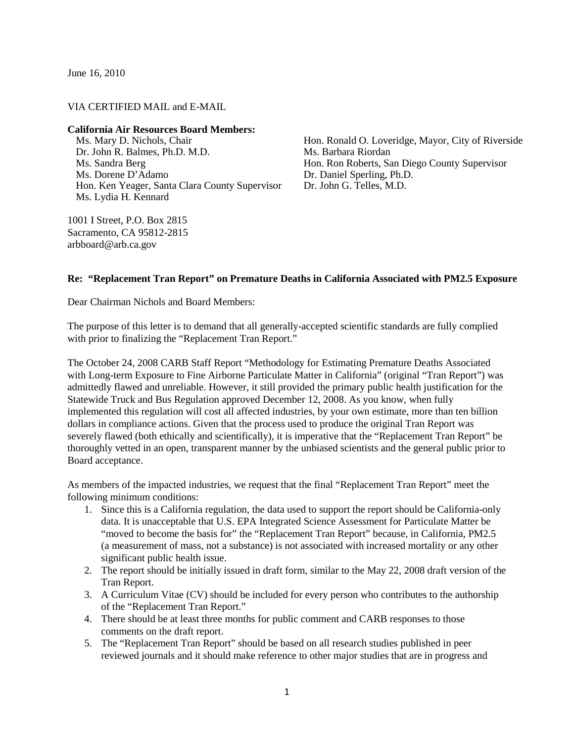June 16, 2010

## VIA CERTIFIED MAIL and E-MAIL

## **California Air Resources Board Members:**

Ms. Mary D. Nichols, Chair Dr. John R. Balmes, Ph.D. M.D. Ms. Sandra Berg Ms. Dorene D'Adamo Hon. Ken Yeager, Santa Clara County Supervisor Ms. Lydia H. Kennard

1001 I Street, P.O. Box 2815 Sacramento, CA 95812-2815 arbboard@arb.ca.gov

Hon. Ronald O. Loveridge, Mayor, City of Riverside Ms. Barbara Riordan Hon. Ron Roberts, San Diego County Supervisor Dr. Daniel Sperling, Ph.D. Dr. John G. Telles, M.D.

## **Re: "Replacement Tran Report" on Premature Deaths in California Associated with PM2.5 Exposure**

Dear Chairman Nichols and Board Members:

The purpose of this letter is to demand that all generally-accepted scientific standards are fully complied with prior to finalizing the "Replacement Tran Report."

The October 24, 2008 CARB Staff Report "Methodology for Estimating Premature Deaths Associated with Long-term Exposure to Fine Airborne Particulate Matter in California" (original "Tran Report") was admittedly flawed and unreliable. However, it still provided the primary public health justification for the Statewide Truck and Bus Regulation approved December 12, 2008. As you know, when fully implemented this regulation will cost all affected industries, by your own estimate, more than ten billion dollars in compliance actions. Given that the process used to produce the original Tran Report was severely flawed (both ethically and scientifically), it is imperative that the "Replacement Tran Report" be thoroughly vetted in an open, transparent manner by the unbiased scientists and the general public prior to Board acceptance.

As members of the impacted industries, we request that the final "Replacement Tran Report" meet the following minimum conditions:

- 1. Since this is a California regulation, the data used to support the report should be California-only data. It is unacceptable that U.S. EPA Integrated Science Assessment for Particulate Matter be "moved to become the basis for" the "Replacement Tran Report" because, in California, PM2.5 (a measurement of mass, not a substance) is not associated with increased mortality or any other significant public health issue.
- 2. The report should be initially issued in draft form, similar to the May 22, 2008 draft version of the Tran Report.
- 3. A Curriculum Vitae (CV) should be included for every person who contributes to the authorship of the "Replacement Tran Report."
- 4. There should be at least three months for public comment and CARB responses to those comments on the draft report.
- 5. The "Replacement Tran Report" should be based on all research studies published in peer reviewed journals and it should make reference to other major studies that are in progress and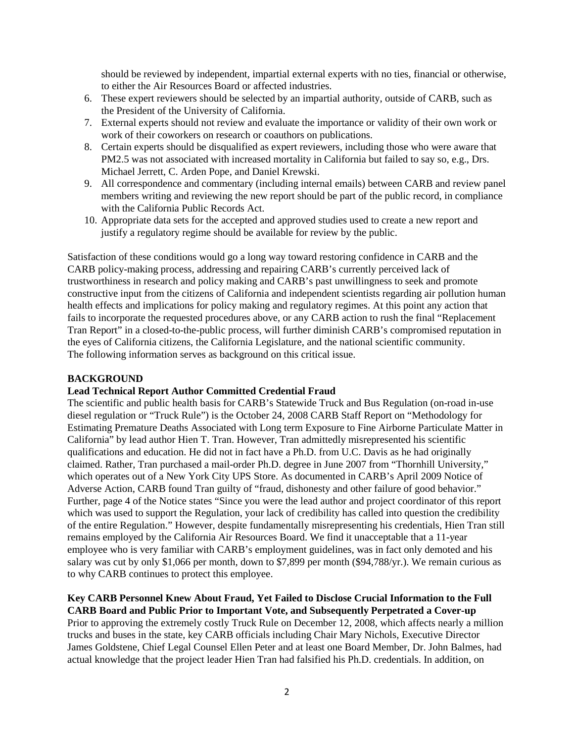should be reviewed by independent, impartial external experts with no ties, financial or otherwise, to either the Air Resources Board or affected industries.

- 6. These expert reviewers should be selected by an impartial authority, outside of CARB, such as the President of the University of California.
- 7. External experts should not review and evaluate the importance or validity of their own work or work of their coworkers on research or coauthors on publications.
- 8. Certain experts should be disqualified as expert reviewers, including those who were aware that PM2.5 was not associated with increased mortality in California but failed to say so, e.g., Drs. Michael Jerrett, C. Arden Pope, and Daniel Krewski.
- 9. All correspondence and commentary (including internal emails) between CARB and review panel members writing and reviewing the new report should be part of the public record, in compliance with the California Public Records Act.
- 10. Appropriate data sets for the accepted and approved studies used to create a new report and justify a regulatory regime should be available for review by the public.

Satisfaction of these conditions would go a long way toward restoring confidence in CARB and the CARB policy-making process, addressing and repairing CARB's currently perceived lack of trustworthiness in research and policy making and CARB's past unwillingness to seek and promote constructive input from the citizens of California and independent scientists regarding air pollution human health effects and implications for policy making and regulatory regimes. At this point any action that fails to incorporate the requested procedures above, or any CARB action to rush the final "Replacement Tran Report" in a closed-to-the-public process, will further diminish CARB's compromised reputation in the eyes of California citizens, the California Legislature, and the national scientific community. The following information serves as background on this critical issue.

# **BACKGROUND**

## **Lead Technical Report Author Committed Credential Fraud**

The scientific and public health basis for CARB's Statewide Truck and Bus Regulation (on-road in-use diesel regulation or "Truck Rule") is the October 24, 2008 CARB Staff Report on "Methodology for Estimating Premature Deaths Associated with Long term Exposure to Fine Airborne Particulate Matter in California" by lead author Hien T. Tran. However, Tran admittedly misrepresented his scientific qualifications and education. He did not in fact have a Ph.D. from U.C. Davis as he had originally claimed. Rather, Tran purchased a mail-order Ph.D. degree in June 2007 from "Thornhill University," which operates out of a New York City UPS Store. As documented in CARB's April 2009 Notice of Adverse Action, CARB found Tran guilty of "fraud, dishonesty and other failure of good behavior." Further, page 4 of the Notice states "Since you were the lead author and project coordinator of this report which was used to support the Regulation, your lack of credibility has called into question the credibility of the entire Regulation." However, despite fundamentally misrepresenting his credentials, Hien Tran still remains employed by the California Air Resources Board. We find it unacceptable that a 11-year employee who is very familiar with CARB's employment guidelines, was in fact only demoted and his salary was cut by only \$1,066 per month, down to \$7,899 per month (\$94,788/yr.). We remain curious as to why CARB continues to protect this employee.

# **Key CARB Personnel Knew About Fraud, Yet Failed to Disclose Crucial Information to the Full CARB Board and Public Prior to Important Vote, and Subsequently Perpetrated a Cover-up**

Prior to approving the extremely costly Truck Rule on December 12, 2008, which affects nearly a million trucks and buses in the state, key CARB officials including Chair Mary Nichols, Executive Director James Goldstene, Chief Legal Counsel Ellen Peter and at least one Board Member, Dr. John Balmes, had actual knowledge that the project leader Hien Tran had falsified his Ph.D. credentials. In addition, on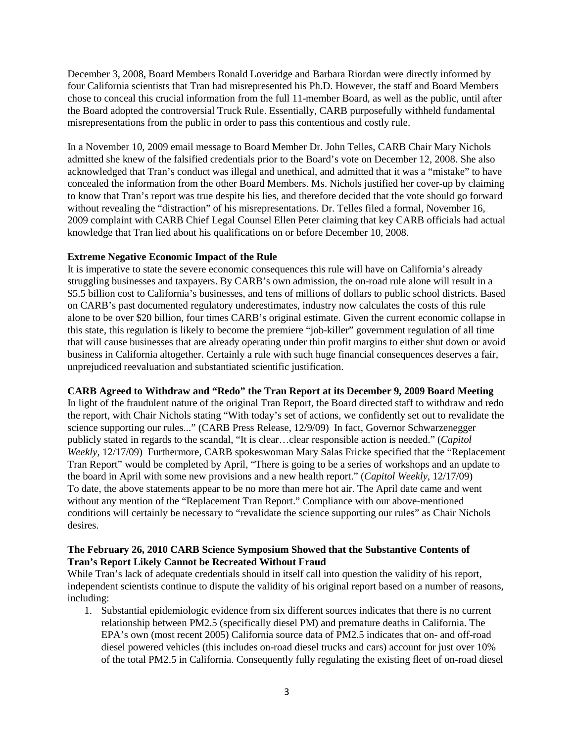December 3, 2008, Board Members Ronald Loveridge and Barbara Riordan were directly informed by four California scientists that Tran had misrepresented his Ph.D. However, the staff and Board Members chose to conceal this crucial information from the full 11-member Board, as well as the public, until after the Board adopted the controversial Truck Rule. Essentially, CARB purposefully withheld fundamental misrepresentations from the public in order to pass this contentious and costly rule.

In a November 10, 2009 email message to Board Member Dr. John Telles, CARB Chair Mary Nichols admitted she knew of the falsified credentials prior to the Board's vote on December 12, 2008. She also acknowledged that Tran's conduct was illegal and unethical, and admitted that it was a "mistake" to have concealed the information from the other Board Members. Ms. Nichols justified her cover-up by claiming to know that Tran's report was true despite his lies, and therefore decided that the vote should go forward without revealing the "distraction" of his misrepresentations. Dr. Telles filed a formal, November 16, 2009 complaint with CARB Chief Legal Counsel Ellen Peter claiming that key CARB officials had actual knowledge that Tran lied about his qualifications on or before December 10, 2008.

## **Extreme Negative Economic Impact of the Rule**

It is imperative to state the severe economic consequences this rule will have on California's already struggling businesses and taxpayers. By CARB's own admission, the on-road rule alone will result in a \$5.5 billion cost to California's businesses, and tens of millions of dollars to public school districts. Based on CARB's past documented regulatory underestimates, industry now calculates the costs of this rule alone to be over \$20 billion, four times CARB's original estimate. Given the current economic collapse in this state, this regulation is likely to become the premiere "job-killer" government regulation of all time that will cause businesses that are already operating under thin profit margins to either shut down or avoid business in California altogether. Certainly a rule with such huge financial consequences deserves a fair, unprejudiced reevaluation and substantiated scientific justification.

# **CARB Agreed to Withdraw and "Redo" the Tran Report at its December 9, 2009 Board Meeting**

In light of the fraudulent nature of the original Tran Report, the Board directed staff to withdraw and redo the report, with Chair Nichols stating "With today's set of actions, we confidently set out to revalidate the science supporting our rules..." (CARB Press Release, 12/9/09) In fact, Governor Schwarzenegger publicly stated in regards to the scandal, "It is clear…clear responsible action is needed." (*Capitol Weekly*, 12/17/09) Furthermore, CARB spokeswoman Mary Salas Fricke specified that the "Replacement Tran Report" would be completed by April, "There is going to be a series of workshops and an update to the board in April with some new provisions and a new health report." (*Capitol Weekly,* 12/17/09) To date, the above statements appear to be no more than mere hot air. The April date came and went without any mention of the "Replacement Tran Report." Compliance with our above-mentioned conditions will certainly be necessary to "revalidate the science supporting our rules" as Chair Nichols desires.

# **The February 26, 2010 CARB Science Symposium Showed that the Substantive Contents of Tran's Report Likely Cannot be Recreated Without Fraud**

While Tran's lack of adequate credentials should in itself call into question the validity of his report, independent scientists continue to dispute the validity of his original report based on a number of reasons, including:

1. Substantial epidemiologic evidence from six different sources indicates that there is no current relationship between PM2.5 (specifically diesel PM) and premature deaths in California. The EPA's own (most recent 2005) California source data of PM2.5 indicates that on- and off-road diesel powered vehicles (this includes on-road diesel trucks and cars) account for just over 10% of the total PM2.5 in California. Consequently fully regulating the existing fleet of on-road diesel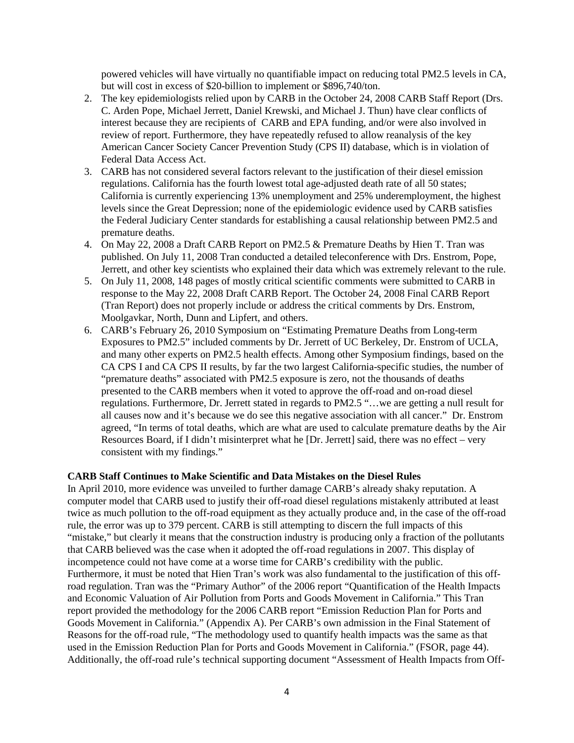powered vehicles will have virtually no quantifiable impact on reducing total PM2.5 levels in CA, but will cost in excess of \$20-billion to implement or \$896,740/ton.

- 2. The key epidemiologists relied upon by CARB in the October 24, 2008 CARB Staff Report (Drs. C. Arden Pope, Michael Jerrett, Daniel Krewski, and Michael J. Thun) have clear conflicts of interest because they are recipients of CARB and EPA funding, and/or were also involved in review of report. Furthermore, they have repeatedly refused to allow reanalysis of the key American Cancer Society Cancer Prevention Study (CPS II) database, which is in violation of Federal Data Access Act.
- 3. CARB has not considered several factors relevant to the justification of their diesel emission regulations. California has the fourth lowest total age-adjusted death rate of all 50 states; California is currently experiencing 13% unemployment and 25% underemployment, the highest levels since the Great Depression; none of the epidemiologic evidence used by CARB satisfies the Federal Judiciary Center standards for establishing a causal relationship between PM2.5 and premature deaths.
- 4. On May 22, 2008 a Draft CARB Report on PM2.5 & Premature Deaths by Hien T. Tran was published. On July 11, 2008 Tran conducted a detailed teleconference with Drs. Enstrom, Pope, Jerrett, and other key scientists who explained their data which was extremely relevant to the rule.
- 5. On July 11, 2008, 148 pages of mostly critical scientific comments were submitted to CARB in response to the May 22, 2008 Draft CARB Report. The October 24, 2008 Final CARB Report (Tran Report) does not properly include or address the critical comments by Drs. Enstrom, Moolgavkar, North, Dunn and Lipfert, and others.
- 6. CARB's February 26, 2010 Symposium on "Estimating Premature Deaths from Long-term Exposures to PM2.5" included comments by Dr. Jerrett of UC Berkeley, Dr. Enstrom of UCLA, and many other experts on PM2.5 health effects. Among other Symposium findings, based on the CA CPS I and CA CPS II results, by far the two largest California-specific studies, the number of "premature deaths" associated with PM2.5 exposure is zero, not the thousands of deaths presented to the CARB members when it voted to approve the off-road and on-road diesel regulations. Furthermore, Dr. Jerrett stated in regards to PM2.5 "…we are getting a null result for all causes now and it's because we do see this negative association with all cancer." Dr. Enstrom agreed, "In terms of total deaths, which are what are used to calculate premature deaths by the Air Resources Board, if I didn't misinterpret what he [Dr. Jerrett] said, there was no effect – very consistent with my findings."

## **CARB Staff Continues to Make Scientific and Data Mistakes on the Diesel Rules**

In April 2010, more evidence was unveiled to further damage CARB's already shaky reputation. A computer model that CARB used to justify their off-road diesel regulations mistakenly attributed at least twice as much pollution to the off-road equipment as they actually produce and, in the case of the off-road rule, the error was up to 379 percent. CARB is still attempting to discern the full impacts of this "mistake," but clearly it means that the construction industry is producing only a fraction of the pollutants that CARB believed was the case when it adopted the off-road regulations in 2007. This display of incompetence could not have come at a worse time for CARB's credibility with the public. Furthermore, it must be noted that Hien Tran's work was also fundamental to the justification of this offroad regulation. Tran was the "Primary Author" of the 2006 report "Quantification of the Health Impacts and Economic Valuation of Air Pollution from Ports and Goods Movement in California." This Tran report provided the methodology for the 2006 CARB report "Emission Reduction Plan for Ports and Goods Movement in California." (Appendix A). Per CARB's own admission in the Final Statement of Reasons for the off-road rule, "The methodology used to quantify health impacts was the same as that used in the Emission Reduction Plan for Ports and Goods Movement in California." (FSOR, page 44). Additionally, the off-road rule's technical supporting document "Assessment of Health Impacts from Off